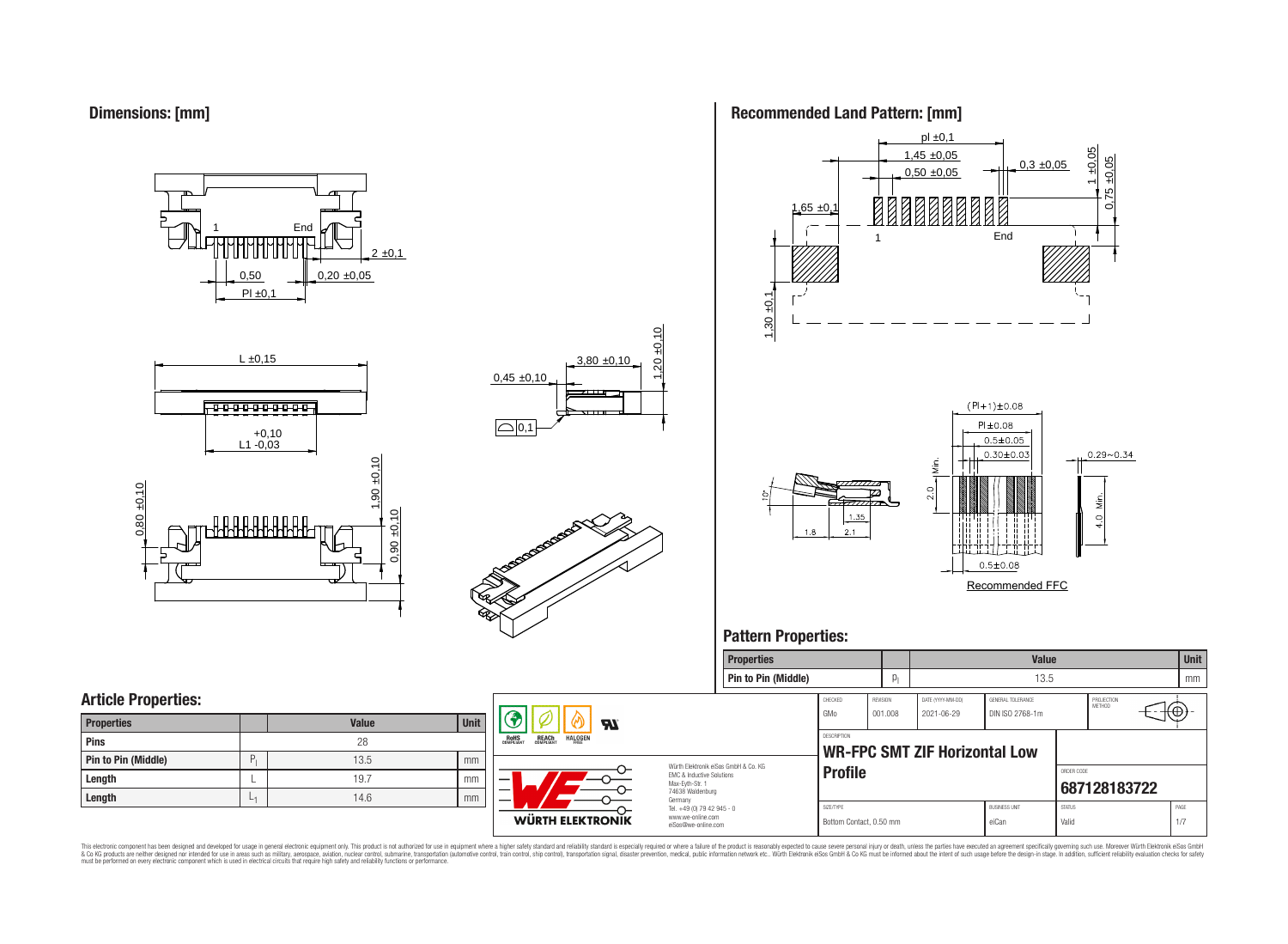**Dimensions: [mm]**

0,50  $PI \pm 0.1$  $0,20 \pm 0,05$  $2 \pm 0,1$ **End** 







### **Recommended Land Pattern: [mm]**



### **Pattern Properties:**



This electronic component has been designed and developed for usage in general electronic equipment only. This product is not authorized for use in equipment where a higher safely standard and reliability standard si espec & Ook product a label and the membed of the seasuch as marked and as which such a membed and the such assume that income in the seasuch and the simulation and the such assume that include to the such a membed and the such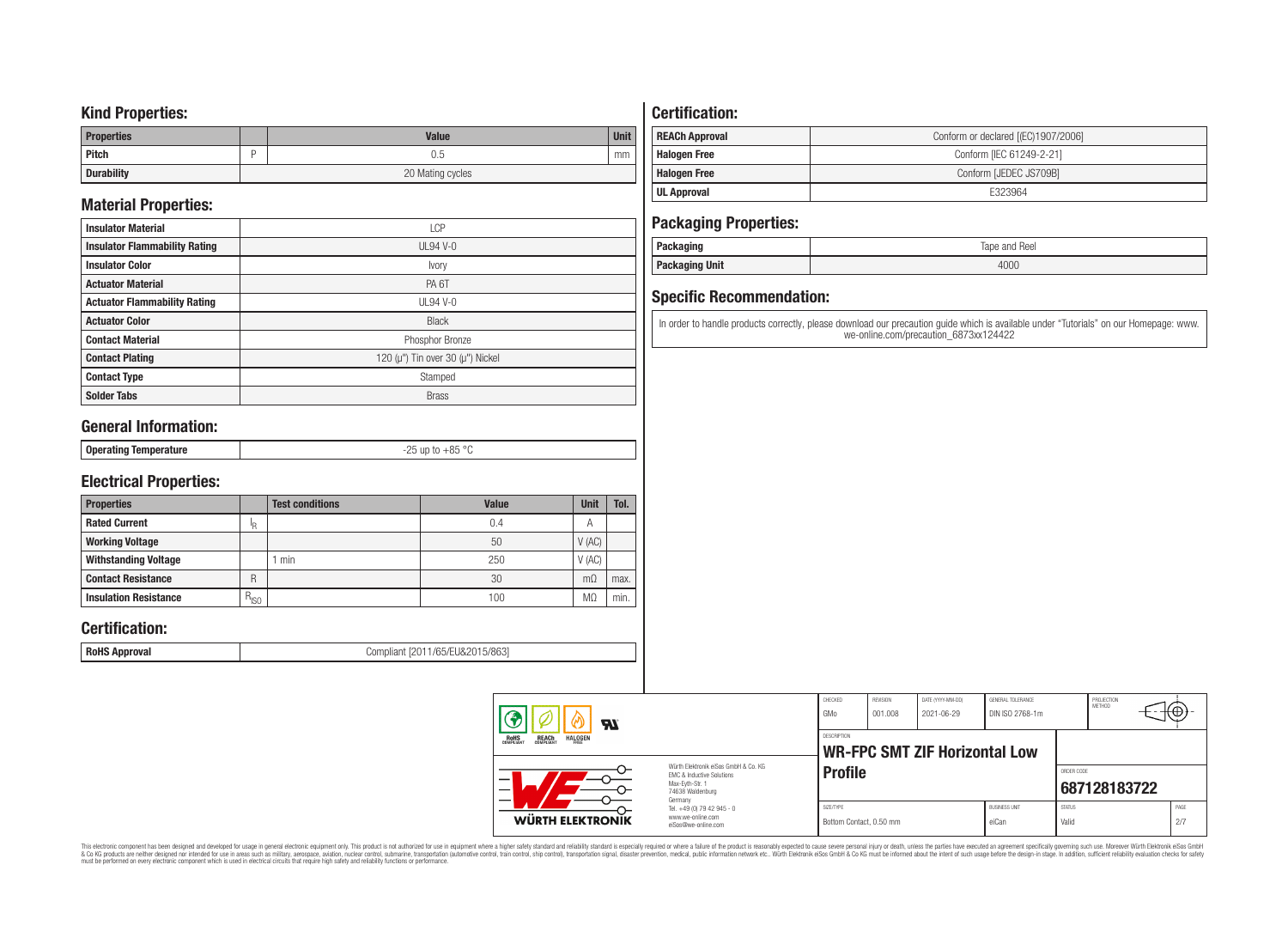### **Kind Properties:**

| <b>Properties</b> | <b>Value</b>     | <b>Unit</b> |  |  |  |  |
|-------------------|------------------|-------------|--|--|--|--|
| Pitch             | U.5              | mm          |  |  |  |  |
| <b>Durability</b> | 20 Mating cycles |             |  |  |  |  |

## **Material Properties:**

| <b>Insulator Material</b>            | <b>LCP</b>                                   |
|--------------------------------------|----------------------------------------------|
| <b>Insulator Flammability Rating</b> | $UL94$ V-0                                   |
| <b>Insulator Color</b>               | Ivory                                        |
| <b>Actuator Material</b>             | PA <sub>6</sub> T                            |
| <b>Actuator Flammability Rating</b>  | UL94 V- $0$                                  |
| <b>Actuator Color</b>                | <b>Black</b>                                 |
| <b>Contact Material</b>              | Phosphor Bronze                              |
| <b>Contact Plating</b>               | 120 ( $\mu$ ") Tin over 30 ( $\mu$ ") Nickel |
| <b>Contact Type</b>                  | Stamped                                      |
| <b>Solder Tabs</b>                   | <b>Brass</b>                                 |

## **General Information:**

| $\sim$ |
|--------|
|--------|

## **Electrical Properties:**

| <b>Properties</b>            |           | <b>Test conditions</b> | <b>Value</b> | <b>Unit</b>    | Tol. |
|------------------------------|-----------|------------------------|--------------|----------------|------|
| <b>Rated Current</b>         | ΙR        |                        | 0.4          | $\overline{A}$ |      |
| <b>Working Voltage</b>       |           |                        | 50           | V(AC)          |      |
| <b>Withstanding Voltage</b>  |           | min                    | 250          | V(AC)          |      |
| <b>Contact Resistance</b>    | R         |                        | 30           | $m\Omega$      | max. |
| <b>Insulation Resistance</b> | $R_{ISO}$ |                        | 100          | M.             | min. |

## **Certification:**

**RoHS Approval RoHS Approval Compliant** [2011/65/EU&2015/863]

## **Certification:**

| <b>REACh Approval</b> | Conform or declared [(EC)1907/2006] |
|-----------------------|-------------------------------------|
| <b>Halogen Free</b>   | Conform [IEC 61249-2-21]            |
| <b>Halogen Free</b>   | Conform [JEDEC JS709B]              |
| UL Approval           | F323964                             |

## **Packaging Properties:**

| . aundyniy                | Reel<br>lape<br>and |
|---------------------------|---------------------|
| <b>Unit</b><br>rackayılıy | 4000                |

## **Specific Recommendation:**

In order to handle products correctly, please download our precaution guide which is available under "Tutorials" on our Homepage: www. we-online.com/precaution\_6873xx124422

| Яï                                                               |                                                                                                                     | CHECKED<br>GMo                       | REVISION<br>001.008 | DATE (YYYY-MM-DD)<br>2021-06-29      | GENERAL TOLERANCE<br>DIN ISO 2768-1m |                        | PROJECTION<br>METHOD       | ι₩          |  |
|------------------------------------------------------------------|---------------------------------------------------------------------------------------------------------------------|--------------------------------------|---------------------|--------------------------------------|--------------------------------------|------------------------|----------------------------|-------------|--|
| ROHS<br>COMPLIANT<br><b>HALOGEN</b><br><b>REACH</b><br>COMPLIANT |                                                                                                                     | <b>DESCRIPTION</b>                   |                     | <b>WR-FPC SMT ZIF Horizontal Low</b> |                                      |                        |                            |             |  |
|                                                                  | Würth Elektronik eiSos GmbH & Co. KG<br>EMC & Inductive Solutions<br>Max-Evth-Str. 1<br>74638 Waldenburg<br>Germany | <b>Profile</b>                       |                     |                                      |                                      |                        | ORDER CODE<br>687128183722 |             |  |
| WÜRTH ELEKTRONIK                                                 | Tel. +49 (0) 79 42 945 - 0<br>www.we-online.com<br>eiSos@we-online.com                                              | SIZE/TYPE<br>Bottom Contact, 0.50 mm |                     |                                      | <b>BUSINESS UNIT</b><br>eiCan        | <b>STATUS</b><br>Valid |                            | PAGE<br>2/7 |  |

This electronic component has been designed and developed for usage in general electronic equipment only. This product is not authorized for subserved requipment where a higher selection equipment where a higher selection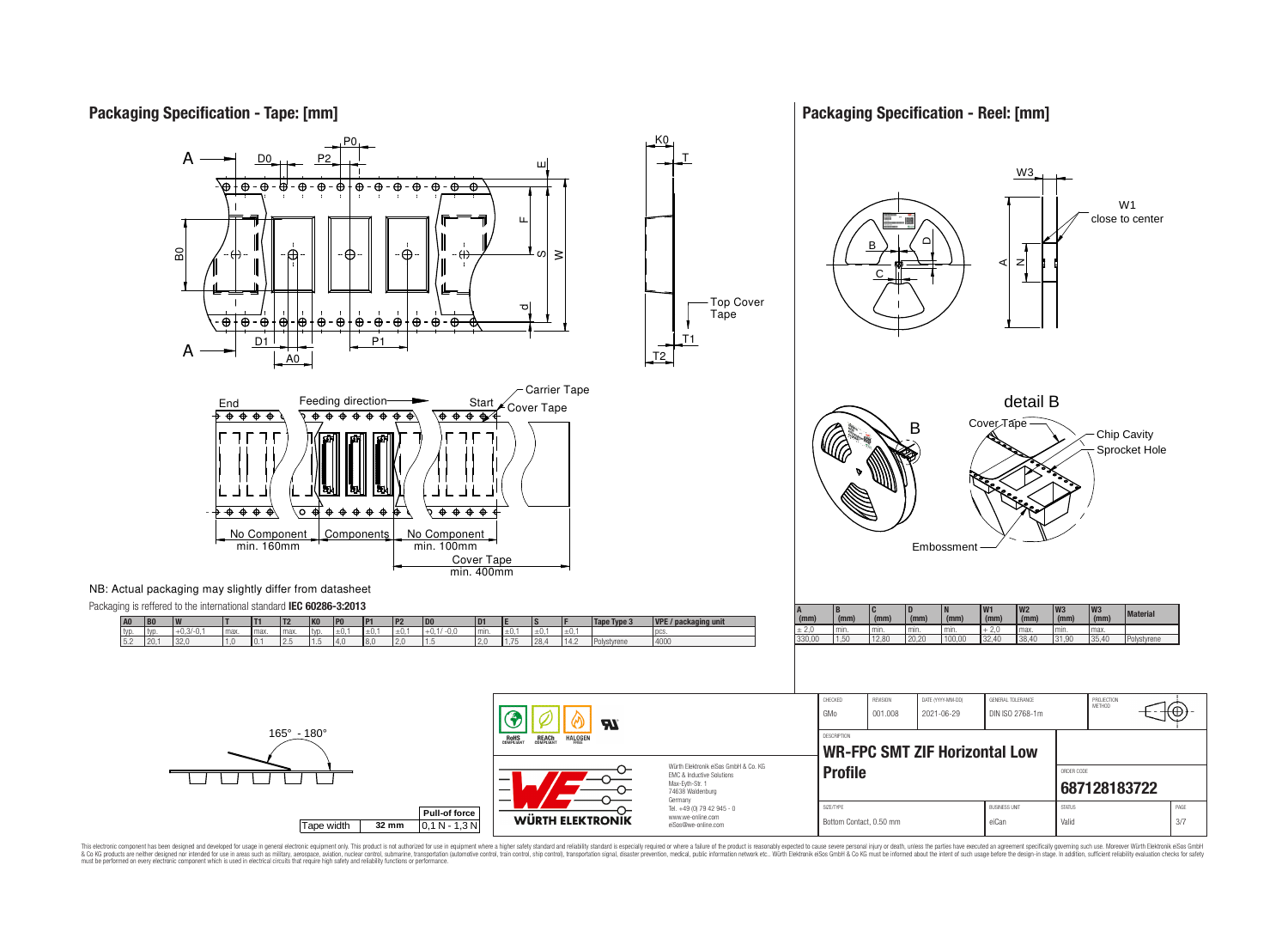## **Packaging Specification - Tape: [mm]**

### **Packaging Specification - Reel: [mm]**







This electronic component has been designed and developed for usage in general electronic equipment only. This product is not authorized for use in equipment where a higher safely standard and reliability standard si espec & Ook product a label and the membed of the seasuch as marked and as which such a membed and the such assume that income in the seasuch and the simulation and the such assume that include to the such a membed and the such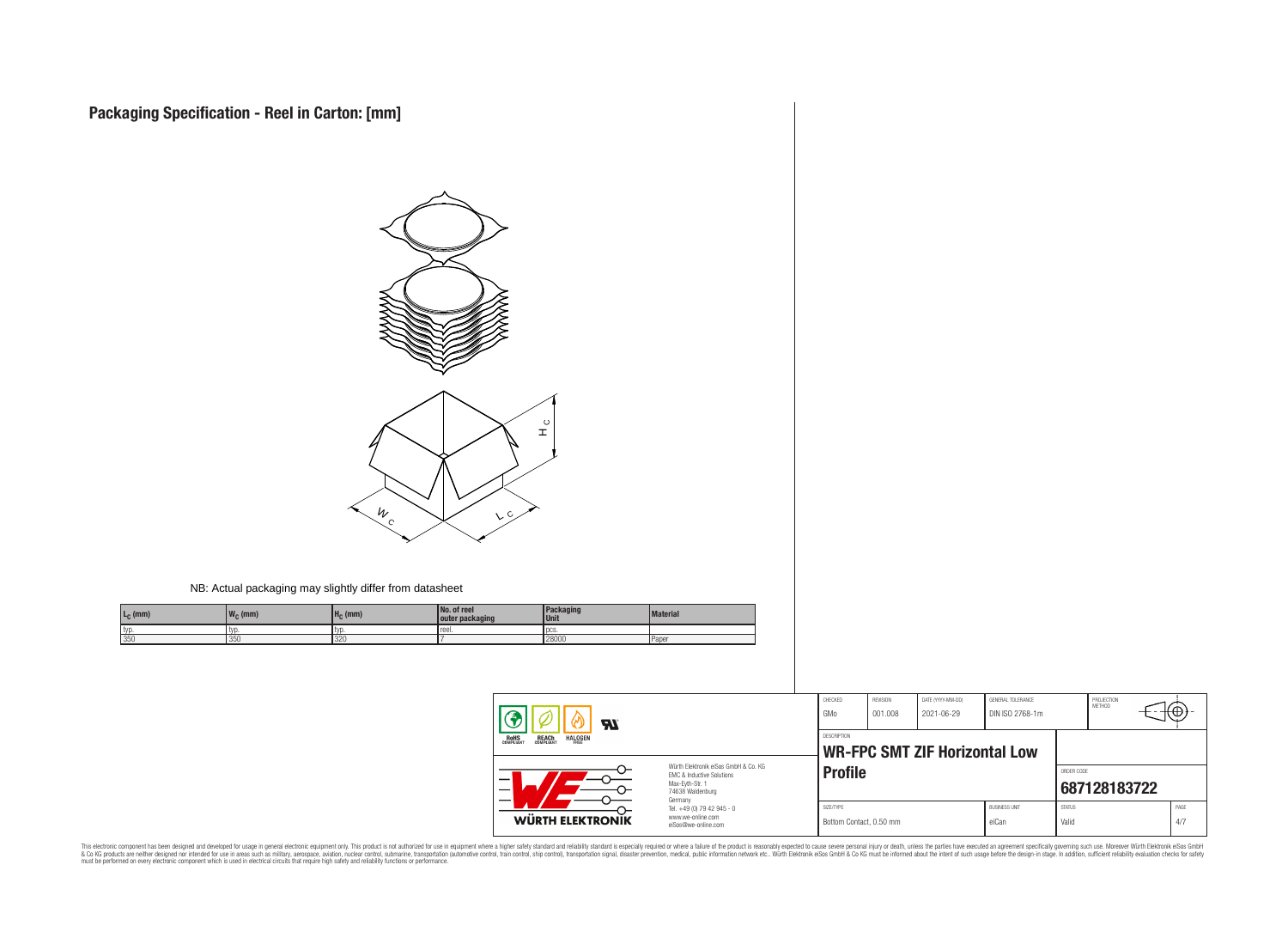

#### NB: Actual packaging may slightly differ from datasheet

| L <sub>C</sub> (mm) | $\mathbf{u}$<br>, $W_C$ (mm) | $H_C$ (mm)     | No. of reel<br>outer packaging | <b>Packaging</b><br>l Unit | <b>Material</b> |
|---------------------|------------------------------|----------------|--------------------------------|----------------------------|-----------------|
| typ                 | I tvd.                       |                | reel.                          | l pcs                      |                 |
| 350                 | 350                          | $\cap$<br>1326 |                                | 28000                      | <b>Paper</b>    |

| $\boldsymbol{H}$<br><b>HALOGEN</b><br><b>REACH</b><br>COMPLIANT<br><b>ROHS</b><br>COMPLIANT |                                                                                                                     | CHECKED<br>GMo                                             | <b>REVISION</b><br>001.008 | DATE (YYYY-MM-DD)<br>2021-06-29 | GENERAL TOLERANCE<br>DIN ISO 2768-1m |                        | PROJECTION<br><b>METHOD</b> | ٣Ħ          |  |
|---------------------------------------------------------------------------------------------|---------------------------------------------------------------------------------------------------------------------|------------------------------------------------------------|----------------------------|---------------------------------|--------------------------------------|------------------------|-----------------------------|-------------|--|
|                                                                                             |                                                                                                                     | <b>DESCRIPTION</b><br><b>WR-FPC SMT ZIF Horizontal Low</b> |                            |                                 |                                      |                        |                             |             |  |
|                                                                                             | Würth Elektronik eiSos GmbH & Co. KG<br>EMC & Inductive Solutions<br>Max-Evth-Str. 1<br>74638 Waldenburg<br>Germany | <b>Profile</b>                                             |                            |                                 |                                      |                        | ORDER CODE<br>687128183722  |             |  |
| WÜRTH ELEKTRONIK                                                                            | Tel. +49 (0) 79 42 945 - 0<br>www.we-online.com<br>eiSos@we-online.com                                              | SIZE/TYPE<br>Bottom Contact, 0.50 mm                       |                            |                                 | <b>BUSINESS UNIT</b><br>eiCan        | <b>STATUS</b><br>Valid |                             | PAGE<br>4/7 |  |

This electronic component has been designed and developed for usage in general electronic equipment only. This product is not authorized for subserved requipment where a higher selection equipment where a higher selection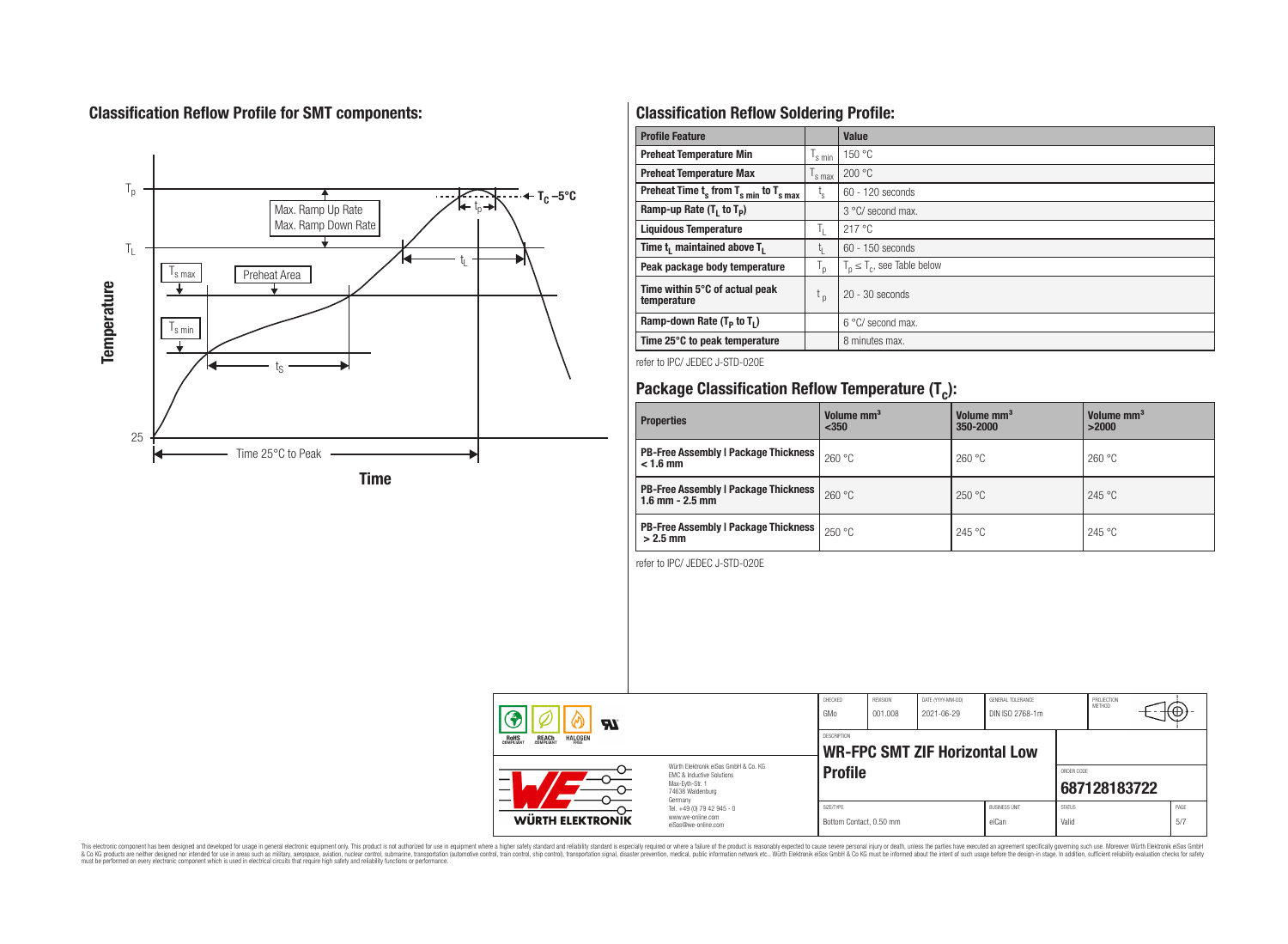## **Classification Reflow Profile for SMT components:**



## **Classification Reflow Soldering Profile:**

| <b>Profile Feature</b>                              |                    | Value                            |
|-----------------------------------------------------|--------------------|----------------------------------|
| <b>Preheat Temperature Min</b>                      | $\frac{1}{s}$ min  | 150 °C                           |
| <b>Preheat Temperature Max</b>                      | $\mathsf{I}$ s max | 200 °C                           |
| Preheat Time $t_s$ from $T_{s min}$ to $T_{s max}$  | t,                 | $60 - 120$ seconds               |
| Ramp-up Rate $(T_1$ to $T_p$ )                      |                    | $3^{\circ}$ C/ second max.       |
| <b>Liquidous Temperature</b>                        | T,                 | 217 °C                           |
| Time t <sub>i</sub> maintained above T <sub>1</sub> | t,                 | 60 - 150 seconds                 |
| Peak package body temperature                       | T <sub>o</sub>     | $T_p \leq T_c$ , see Table below |
| Time within 5°C of actual peak<br>temperature       | $t_{p}$            | $20 - 30$ seconds                |
| Ramp-down Rate $(T_p$ to $T_1$ )                    |                    | $6^{\circ}$ C/ second max.       |
| Time 25°C to peak temperature                       |                    | 8 minutes max.                   |

refer to IPC/ JEDEC J-STD-020E

# **Package Classification Reflow Temperature (T<sup>c</sup> ):**

| <b>Properties</b>                                                    | Volume mm <sup>3</sup><br>$350$ | Volume mm <sup>3</sup><br>350-2000 | Volume mm <sup>3</sup><br>>2000 |
|----------------------------------------------------------------------|---------------------------------|------------------------------------|---------------------------------|
| <b>PB-Free Assembly   Package Thickness  </b><br>$< 1.6$ mm          | 260 °C                          | 260 °C                             | 260 °C                          |
| <b>PB-Free Assembly   Package Thickness  </b><br>$1.6$ mm $- 2.5$ mm | 260 °C                          | 250 °C                             | 245 °C                          |
| <b>PB-Free Assembly   Package Thickness  </b><br>$>2.5$ mm           | 250 °C                          | 245 °C                             | 245 °C                          |

refer to IPC/ JEDEC J-STD-020E

| $\boldsymbol{H}$                                                                                                              |                                                                                   | CHECKED<br>GMo                       | <b>REVISION</b><br>001.008 | DATE (YYYY-MM-DD)<br>2021-06-29      | GENERAL TOLERANCE<br>DIN ISO 2768-1m |                            | PROJECTION<br>METHOD | ₩Ψ          |
|-------------------------------------------------------------------------------------------------------------------------------|-----------------------------------------------------------------------------------|--------------------------------------|----------------------------|--------------------------------------|--------------------------------------|----------------------------|----------------------|-------------|
| <b>HALOGEN</b><br>REACH<br>COMPLIANT<br>ROHS<br>COMPLIANT<br>FRFF                                                             |                                                                                   | <b>DESCRIPTION</b>                   |                            | <b>WR-FPC SMT ZIF Horizontal Low</b> |                                      |                            |                      |             |
| Würth Flektronik eiSos GmbH & Co. KG<br><b>EMC &amp; Inductive Solutions</b><br>—<br>Max-Evth-Str. 1<br>—<br>74638 Waldenburg |                                                                                   | <b>Profile</b>                       |                            |                                      |                                      | ORDER CODE<br>687128183722 |                      |             |
| <b>WÜRTH ELEKTRONIK</b>                                                                                                       | Germany<br>Tel. +49 (0) 79 42 945 - 0<br>www.we-online.com<br>eiSos@we-online.com | SIZE/TYPE<br>Bottom Contact, 0.50 mm |                            |                                      | <b>BUSINESS UNIT</b><br>eiCan        | <b>STATUS</b><br>Valid     |                      | PAGE<br>5/7 |

This electronic component has been designed and developed for usage in general electronic equipment only. This product is not authorized for subserved requipment where a higher selection equipment where a higher selection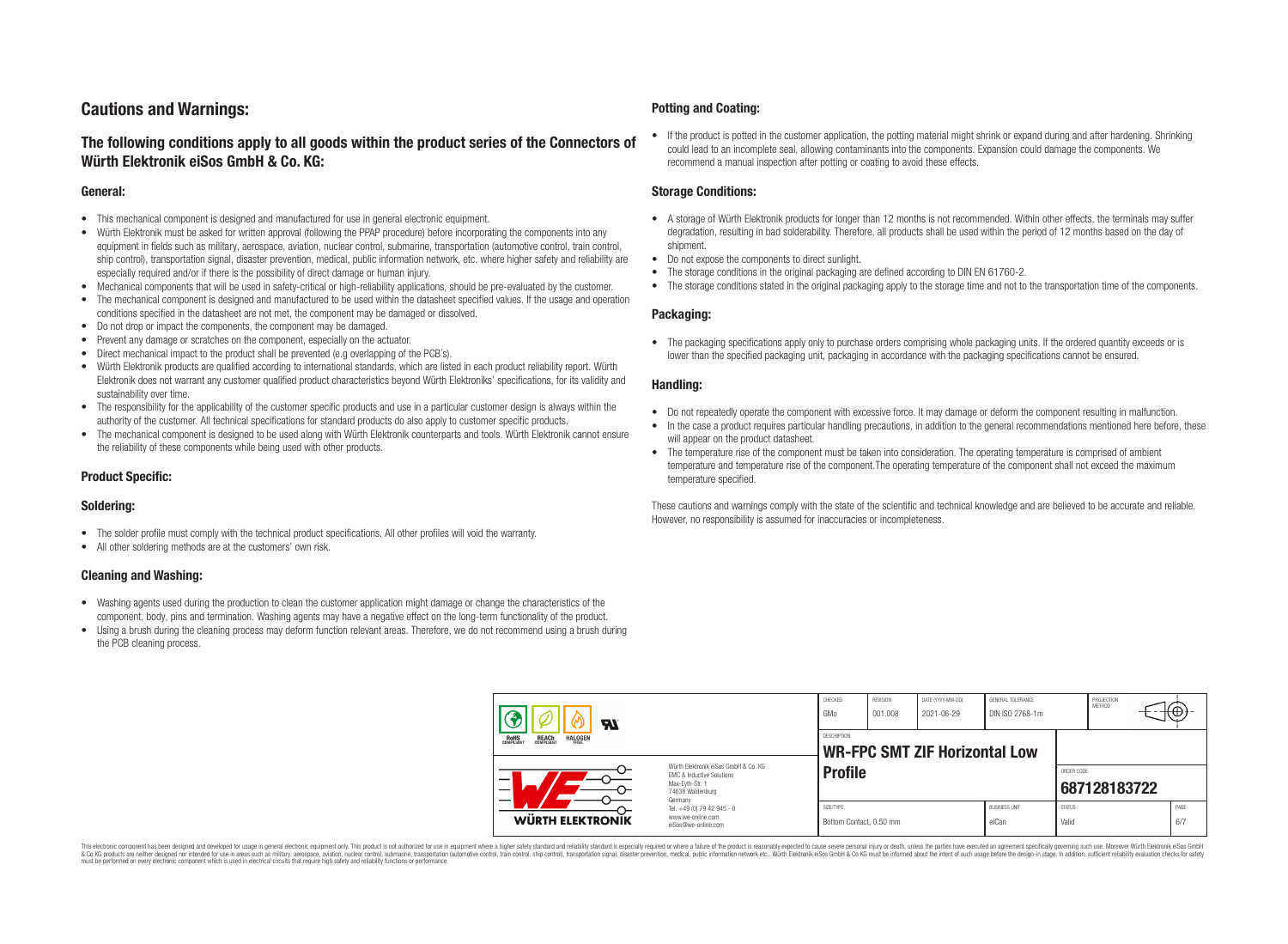## **Cautions and Warnings:**

### **The following conditions apply to all goods within the product series of the Connectors of Würth Elektronik eiSos GmbH & Co. KG:**

#### **General:**

- This mechanical component is designed and manufactured for use in general electronic equipment.
- Würth Elektronik must be asked for written approval (following the PPAP procedure) before incorporating the components into any equipment in fields such as military, aerospace, aviation, nuclear control, submarine, transportation (automotive control, train control, ship control), transportation signal, disaster prevention, medical, public information network, etc. where higher safety and reliability are especially required and/or if there is the possibility of direct damage or human injury.
- Mechanical components that will be used in safety-critical or high-reliability applications, should be pre-evaluated by the customer.
- The mechanical component is designed and manufactured to be used within the datasheet specified values. If the usage and operation conditions specified in the datasheet are not met, the component may be damaged or dissolved.
- Do not drop or impact the components, the component may be damaged.
- Prevent any damage or scratches on the component, especially on the actuator.
- Direct mechanical impact to the product shall be prevented (e.g overlapping of the PCB's).
- Würth Elektronik products are qualified according to international standards, which are listed in each product reliability report. Würth Elektronik does not warrant any customer qualified product characteristics beyond Würth Elektroniks' specifications, for its validity and sustainability over time.
- The responsibility for the applicability of the customer specific products and use in a particular customer design is always within the authority of the customer. All technical specifications for standard products do also apply to customer specific products.
- The mechanical component is designed to be used along with Würth Elektronik counterparts and tools. Würth Elektronik cannot ensure the reliability of these components while being used with other products.

#### **Product Specific:**

#### **Soldering:**

- The solder profile must comply with the technical product specifications. All other profiles will void the warranty.
- All other soldering methods are at the customers' own risk.

#### **Cleaning and Washing:**

- Washing agents used during the production to clean the customer application might damage or change the characteristics of the component, body, pins and termination. Washing agents may have a negative effect on the long-term functionality of the product.
- Using a brush during the cleaning process may deform function relevant areas. Therefore, we do not recommend using a brush during the PCB cleaning process.

#### **Potting and Coating:**

• If the product is potted in the customer application, the potting material might shrink or expand during and after hardening. Shrinking could lead to an incomplete seal, allowing contaminants into the components. Expansion could damage the components. We recommend a manual inspection after potting or coating to avoid these effects.

#### **Storage Conditions:**

- A storage of Würth Elektronik products for longer than 12 months is not recommended. Within other effects, the terminals may suffer degradation, resulting in bad solderability. Therefore, all products shall be used within the period of 12 months based on the day of shipment.
- Do not expose the components to direct sunlight.
- The storage conditions in the original packaging are defined according to DIN EN 61760-2.
- The storage conditions stated in the original packaging apply to the storage time and not to the transportation time of the components.

#### **Packaging:**

• The packaging specifications apply only to purchase orders comprising whole packaging units. If the ordered quantity exceeds or is lower than the specified packaging unit, packaging in accordance with the packaging specifications cannot be ensured.

#### **Handling:**

- Do not repeatedly operate the component with excessive force. It may damage or deform the component resulting in malfunction.
- In the case a product requires particular handling precautions, in addition to the general recommendations mentioned here before, these will appear on the product datasheet
- The temperature rise of the component must be taken into consideration. The operating temperature is comprised of ambient temperature and temperature rise of the component.The operating temperature of the component shall not exceed the maximum temperature specified.

These cautions and warnings comply with the state of the scientific and technical knowledge and are believed to be accurate and reliable. However, no responsibility is assumed for inaccuracies or incompleteness.

| Яľ<br><b>REACH</b><br>COMPLIANT<br><b>HALOGEN</b><br><b>ROHS</b><br>COMPLIANT |                                                                                                                     | CHECKED<br>GMo                                      | REVISION<br>001.008 | DATE (YYYY-MM-DD)<br>2021-06-29 | GENERAL TOLERANCE<br>DIN ISO 2768-1m |                            | PROJECTION<br><b>METHOD</b> |  | ₩₩.         |
|-------------------------------------------------------------------------------|---------------------------------------------------------------------------------------------------------------------|-----------------------------------------------------|---------------------|---------------------------------|--------------------------------------|----------------------------|-----------------------------|--|-------------|
|                                                                               |                                                                                                                     | DESCRIPTION<br><b>WR-FPC SMT ZIF Horizontal Low</b> |                     |                                 |                                      |                            |                             |  |             |
|                                                                               | Würth Flektronik eiSos GmbH & Co. KG<br>FMC & Inductive Solutions<br>Max-Evth-Str. 1<br>74638 Waldenburg<br>Germany | <b>Profile</b>                                      |                     |                                 |                                      | ORDER CODE<br>687128183722 |                             |  |             |
| <b>WÜRTH ELEKTRONIK</b>                                                       | Tel. +49 (0) 79 42 945 - 0<br>www.we-online.com<br>eiSos@we-online.com                                              | SIZE/TYPE<br>Bottom Contact, 0.50 mm                |                     |                                 | <b>BUSINESS UNIT</b><br>eiCan        | <b>STATUS</b><br>Valid     |                             |  | PAGE<br>6/7 |

This electronic component has been designed and developed for usage in general electronic equipment only. This product is not authorized for use in equipment where a higher safety standard and reliability standard si espec & Ook product a label and the membed of the seasuch as marked and as which such a membed and the such assume that income in the seasuch and the simulation and the such assume that include to the such a membed and the such